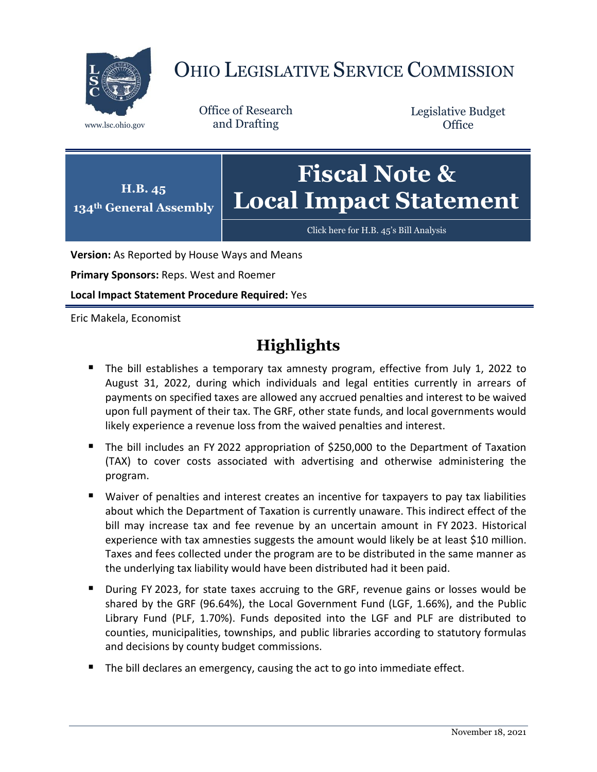

# OHIO LEGISLATIVE SERVICE COMMISSION

Office of Research www.lsc.ohio.gov and Drafting

Legislative Budget **Office** 



[Click here for H.B. 45](https://www.legislature.ohio.gov/legislation/legislation-documents?id=GA134-HB-45)'s Bill Analysis

**Version:** As Reported by House Ways and Means

**Primary Sponsors:** Reps. West and Roemer

**Local Impact Statement Procedure Required:** Yes

Eric Makela, Economist

## **Highlights**

- The bill establishes a temporary tax amnesty program, effective from July 1, 2022 to August 31, 2022, during which individuals and legal entities currently in arrears of payments on specified taxes are allowed any accrued penalties and interest to be waived upon full payment of their tax. The GRF, other state funds, and local governments would likely experience a revenue loss from the waived penalties and interest.
- The bill includes an FY 2022 appropriation of \$250,000 to the Department of Taxation (TAX) to cover costs associated with advertising and otherwise administering the program.
- Waiver of penalties and interest creates an incentive for taxpayers to pay tax liabilities about which the Department of Taxation is currently unaware. This indirect effect of the bill may increase tax and fee revenue by an uncertain amount in FY 2023. Historical experience with tax amnesties suggests the amount would likely be at least \$10 million. Taxes and fees collected under the program are to be distributed in the same manner as the underlying tax liability would have been distributed had it been paid.
- During FY 2023, for state taxes accruing to the GRF, revenue gains or losses would be shared by the GRF (96.64%), the Local Government Fund (LGF, 1.66%), and the Public Library Fund (PLF, 1.70%). Funds deposited into the LGF and PLF are distributed to counties, municipalities, townships, and public libraries according to statutory formulas and decisions by county budget commissions.
- The bill declares an emergency, causing the act to go into immediate effect.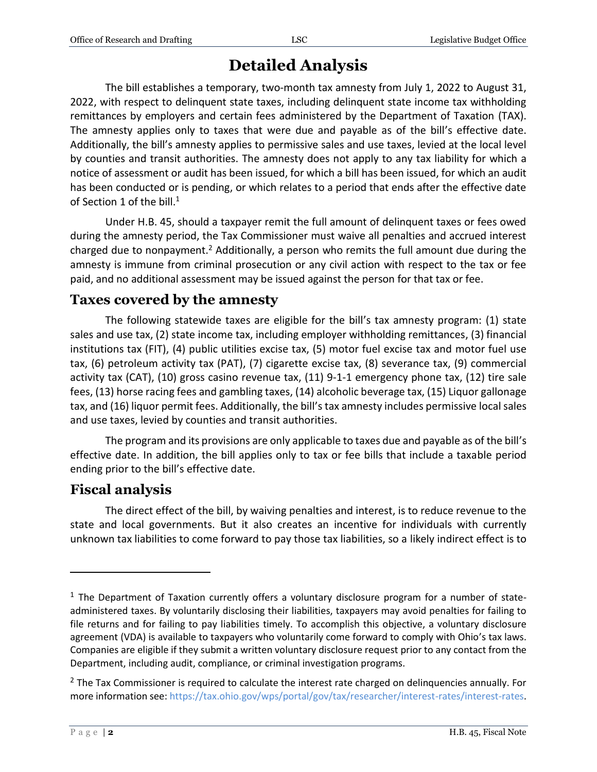### **Detailed Analysis**

The bill establishes a temporary, two-month tax amnesty from July 1, 2022 to August 31, 2022, with respect to delinquent state taxes, including delinquent state income tax withholding remittances by employers and certain fees administered by the Department of Taxation (TAX). The amnesty applies only to taxes that were due and payable as of the bill's effective date. Additionally, the bill's amnesty applies to permissive sales and use taxes, levied at the local level by counties and transit authorities. The amnesty does not apply to any tax liability for which a notice of assessment or audit has been issued, for which a bill has been issued, for which an audit has been conducted or is pending, or which relates to a period that ends after the effective date of Section 1 of the bill. $^1$ 

Under H.B. 45, should a taxpayer remit the full amount of delinquent taxes or fees owed during the amnesty period, the Tax Commissioner must waive all penalties and accrued interest charged due to nonpayment.<sup>2</sup> Additionally, a person who remits the full amount due during the amnesty is immune from criminal prosecution or any civil action with respect to the tax or fee paid, and no additional assessment may be issued against the person for that tax or fee.

#### **Taxes covered by the amnesty**

The following statewide taxes are eligible for the bill's tax amnesty program: (1) state sales and use tax, (2) state income tax, including employer withholding remittances, (3) financial institutions tax (FIT), (4) public utilities excise tax, (5) motor fuel excise tax and motor fuel use tax, (6) petroleum activity tax (PAT), (7) cigarette excise tax, (8) severance tax, (9) commercial activity tax (CAT), (10) gross casino revenue tax, (11) 9-1-1 emergency phone tax, (12) tire sale fees, (13) horse racing fees and gambling taxes, (14) alcoholic beverage tax, (15) Liquor gallonage tax, and (16) liquor permit fees. Additionally, the bill's tax amnesty includes permissive local sales and use taxes, levied by counties and transit authorities.

The program and its provisions are only applicable to taxes due and payable as of the bill's effective date. In addition, the bill applies only to tax or fee bills that include a taxable period ending prior to the bill's effective date.

#### **Fiscal analysis**

The direct effect of the bill, by waiving penalties and interest, is to reduce revenue to the state and local governments. But it also creates an incentive for individuals with currently unknown tax liabilities to come forward to pay those tax liabilities, so a likely indirect effect is to

 $\overline{a}$ 

 $<sup>1</sup>$  The Department of Taxation currently offers a voluntary disclosure program for a number of state-</sup> administered taxes. By voluntarily disclosing their liabilities, taxpayers may avoid penalties for failing to file returns and for failing to pay liabilities timely. To accomplish this objective, a voluntary disclosure agreement (VDA) is available to taxpayers who voluntarily come forward to comply with Ohio's tax laws. Companies are eligible if they submit a written voluntary disclosure request prior to any contact from the Department, including audit, compliance, or criminal investigation programs.

 $2$  The Tax Commissioner is required to calculate the interest rate charged on delinquencies annually. For more information see: [https://tax.ohio.gov/wps/portal/gov/tax/researcher/interest-rates/interest-rates.](https://tax.ohio.gov/wps/portal/gov/tax/researcher/interest-rates/interest-rates)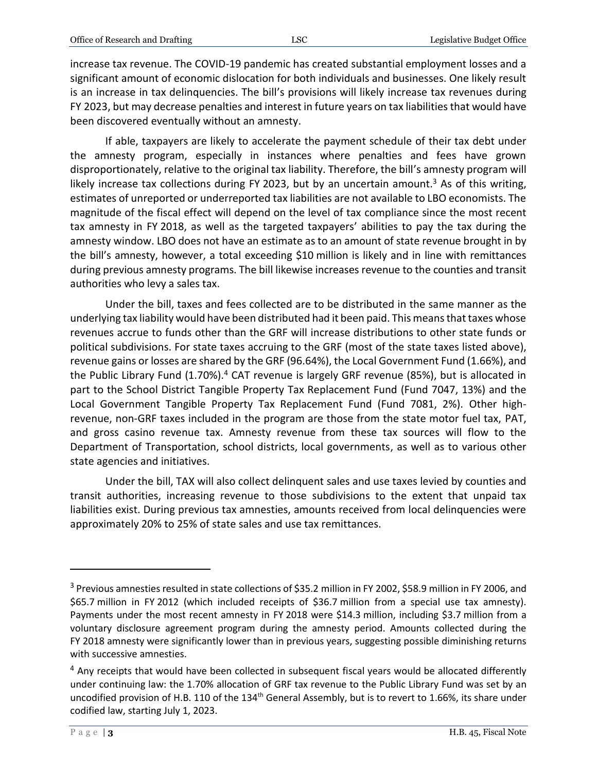increase tax revenue. The COVID-19 pandemic has created substantial employment losses and a significant amount of economic dislocation for both individuals and businesses. One likely result is an increase in tax delinquencies. The bill's provisions will likely increase tax revenues during FY 2023, but may decrease penalties and interest in future years on tax liabilities that would have been discovered eventually without an amnesty.

If able, taxpayers are likely to accelerate the payment schedule of their tax debt under the amnesty program, especially in instances where penalties and fees have grown disproportionately, relative to the original tax liability. Therefore, the bill's amnesty program will likely increase tax collections during FY 2023, but by an uncertain amount.<sup>3</sup> As of this writing, estimates of unreported or underreported tax liabilities are not available to LBO economists. The magnitude of the fiscal effect will depend on the level of tax compliance since the most recent tax amnesty in FY 2018, as well as the targeted taxpayers' abilities to pay the tax during the amnesty window. LBO does not have an estimate as to an amount of state revenue brought in by the bill's amnesty, however, a total exceeding \$10 million is likely and in line with remittances during previous amnesty programs. The bill likewise increases revenue to the counties and transit authorities who levy a sales tax.

Under the bill, taxes and fees collected are to be distributed in the same manner as the underlying tax liability would have been distributed had it been paid. This means that taxes whose revenues accrue to funds other than the GRF will increase distributions to other state funds or political subdivisions. For state taxes accruing to the GRF (most of the state taxes listed above), revenue gains or losses are shared by the GRF (96.64%), the Local Government Fund (1.66%), and the Public Library Fund (1.70%).<sup>4</sup> CAT revenue is largely GRF revenue (85%), but is allocated in part to the School District Tangible Property Tax Replacement Fund (Fund 7047, 13%) and the Local Government Tangible Property Tax Replacement Fund (Fund 7081, 2%). Other highrevenue, non-GRF taxes included in the program are those from the state motor fuel tax, PAT, and gross casino revenue tax. Amnesty revenue from these tax sources will flow to the Department of Transportation, school districts, local governments, as well as to various other state agencies and initiatives.

Under the bill, TAX will also collect delinquent sales and use taxes levied by counties and transit authorities, increasing revenue to those subdivisions to the extent that unpaid tax liabilities exist. During previous tax amnesties, amounts received from local delinquencies were approximately 20% to 25% of state sales and use tax remittances.

 $\overline{a}$ 

<sup>3</sup> Previous amnesties resulted in state collections of \$35.2 million in FY 2002, \$58.9 million in FY 2006, and \$65.7 million in FY 2012 (which included receipts of \$36.7 million from a special use tax amnesty). Payments under the most recent amnesty in FY 2018 were \$14.3 million, including \$3.7 million from a voluntary disclosure agreement program during the amnesty period. Amounts collected during the FY 2018 amnesty were significantly lower than in previous years, suggesting possible diminishing returns with successive amnesties.

 $<sup>4</sup>$  Any receipts that would have been collected in subsequent fiscal years would be allocated differently</sup> under continuing law: the 1.70% allocation of GRF tax revenue to the Public Library Fund was set by an uncodified provision of H.B. 110 of the 134<sup>th</sup> General Assembly, but is to revert to 1.66%, its share under codified law, starting July 1, 2023.